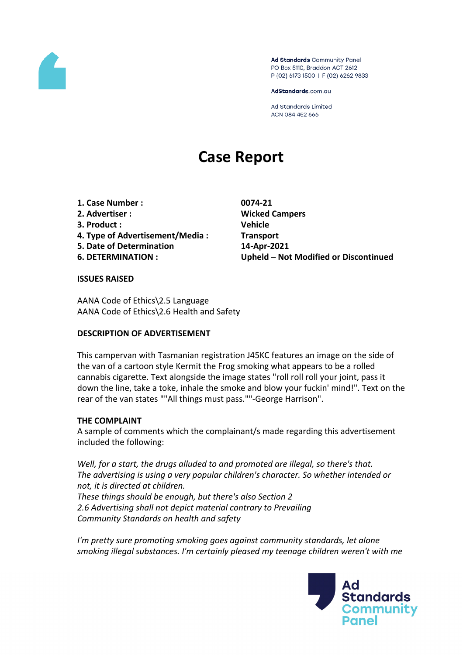

Ad Standards Community Panel PO Box 5110, Braddon ACT 2612 P (02) 6173 1500 | F (02) 6262 9833

AdStandards.com.au

**Ad Standards Limited** ACN 084 452 666

# **Case Report**

**1. Case Number : 0074-21 2. Advertiser : Wicked Campers 3. Product : Vehicle 4. Type of Advertisement/Media : Transport 5. Date of Determination 14-Apr-2021**

**6. DETERMINATION : Upheld – Not Modified or Discontinued**

#### **ISSUES RAISED**

AANA Code of Ethics\2.5 Language AANA Code of Ethics\2.6 Health and Safety

#### **DESCRIPTION OF ADVERTISEMENT**

This campervan with Tasmanian registration J45KC features an image on the side of the van of a cartoon style Kermit the Frog smoking what appears to be a rolled cannabis cigarette. Text alongside the image states "roll roll roll your joint, pass it down the line, take a toke, inhale the smoke and blow your fuckin' mind!". Text on the rear of the van states ""All things must pass.""-George Harrison".

#### **THE COMPLAINT**

A sample of comments which the complainant/s made regarding this advertisement included the following:

*Well, for a start, the drugs alluded to and promoted are illegal, so there's that. The advertising is using a very popular children's character. So whether intended or not, it is directed at children. These things should be enough, but there's also Section 2 2.6 Advertising shall not depict material contrary to Prevailing Community Standards on health and safety*

*I'm pretty sure promoting smoking goes against community standards, let alone smoking illegal substances. I'm certainly pleased my teenage children weren't with me*

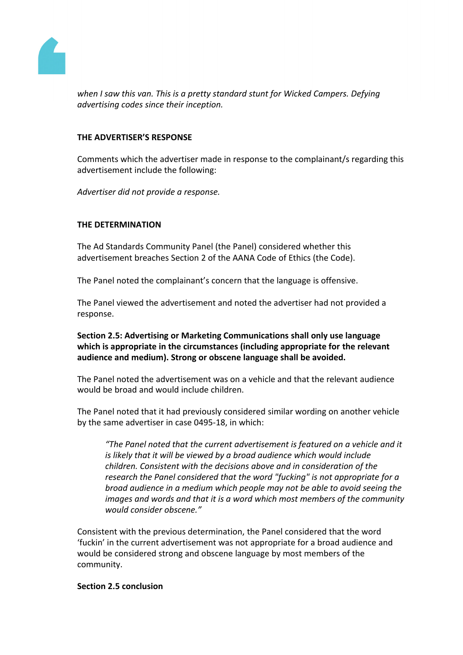

*when I saw this van. This is a pretty standard stunt for Wicked Campers. Defying advertising codes since their inception.*

## **THE ADVERTISER'S RESPONSE**

Comments which the advertiser made in response to the complainant/s regarding this advertisement include the following:

*Advertiser did not provide a response.*

# **THE DETERMINATION**

The Ad Standards Community Panel (the Panel) considered whether this advertisement breaches Section 2 of the AANA Code of Ethics (the Code).

The Panel noted the complainant's concern that the language is offensive.

The Panel viewed the advertisement and noted the advertiser had not provided a response.

**Section 2.5: Advertising or Marketing Communications shall only use language which is appropriate in the circumstances (including appropriate for the relevant audience and medium). Strong or obscene language shall be avoided.**

The Panel noted the advertisement was on a vehicle and that the relevant audience would be broad and would include children.

The Panel noted that it had previously considered similar wording on another vehicle by the same advertiser in case 0495-18, in which:

*"The Panel noted that the current advertisement is featured on a vehicle and it is likely that it will be viewed by a broad audience which would include children. Consistent with the decisions above and in consideration of the research the Panel considered that the word "fucking" is not appropriate for a broad audience in a medium which people may not be able to avoid seeing the images and words and that it is a word which most members of the community would consider obscene."*

Consistent with the previous determination, the Panel considered that the word 'fuckin' in the current advertisement was not appropriate for a broad audience and would be considered strong and obscene language by most members of the community.

#### **Section 2.5 conclusion**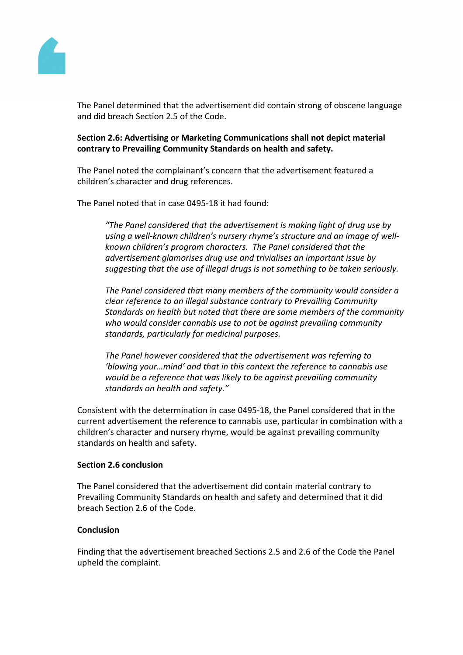

The Panel determined that the advertisement did contain strong of obscene language and did breach Section 2.5 of the Code.

# **Section 2.6: Advertising or Marketing Communications shall not depict material contrary to Prevailing Community Standards on health and safety.**

The Panel noted the complainant's concern that the advertisement featured a children's character and drug references.

The Panel noted that in case 0495-18 it had found:

*"The Panel considered that the advertisement is making light of drug use by using a well-known children's nursery rhyme's structure and an image of wellknown children's program characters. The Panel considered that the advertisement glamorises drug use and trivialises an important issue by suggesting that the use of illegal drugs is not something to be taken seriously.*

*The Panel considered that many members of the community would consider a clear reference to an illegal substance contrary to Prevailing Community Standards on health but noted that there are some members of the community who would consider cannabis use to not be against prevailing community standards, particularly for medicinal purposes.*

*The Panel however considered that the advertisement was referring to 'blowing your…mind' and that in this context the reference to cannabis use would be a reference that was likely to be against prevailing community standards on health and safety."*

Consistent with the determination in case 0495-18, the Panel considered that in the current advertisement the reference to cannabis use, particular in combination with a children's character and nursery rhyme, would be against prevailing community standards on health and safety.

#### **Section 2.6 conclusion**

The Panel considered that the advertisement did contain material contrary to Prevailing Community Standards on health and safety and determined that it did breach Section 2.6 of the Code.

#### **Conclusion**

Finding that the advertisement breached Sections 2.5 and 2.6 of the Code the Panel upheld the complaint.